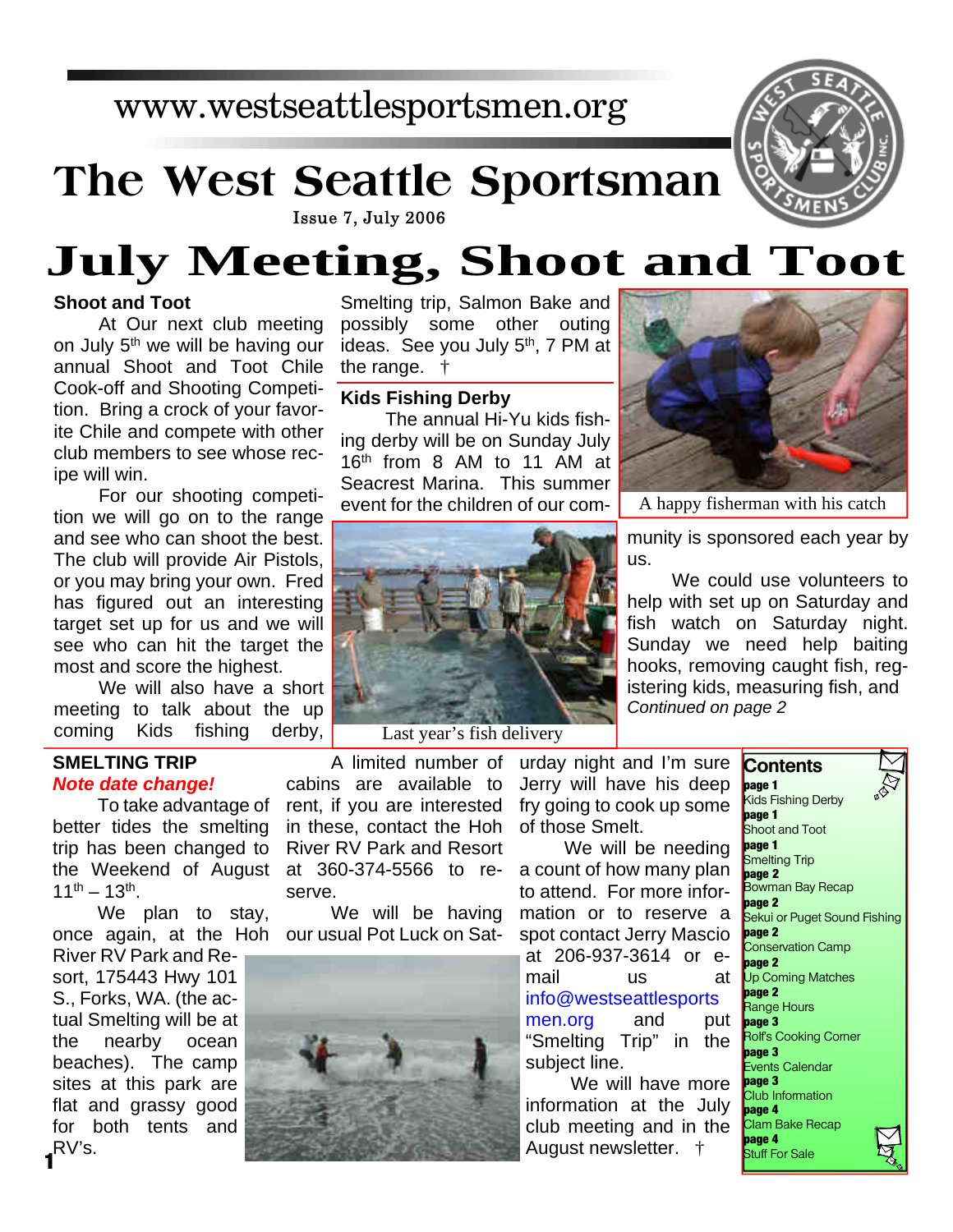### www.westseattlesportsmen.org

## **The West Seattle Sportsman**



# **July Meeting, Shoot and Toot**

#### **Shoot and Toot**

At Our next club meeting on July 5th we will be having our annual Shoot and Toot Chile Cook-off and Shooting Competition. Bring a crock of your favorite Chile and compete with other club members to see whose recipe will win.

For our shooting competition we will go on to the range and see who can shoot the best. The club will provide Air Pistols, or you may bring your own. Fred has figured out an interesting target set up for us and we will see who can hit the target the most and score the highest.

We will also have a short meeting to talk about the up coming Kids fishing derby,

#### **SMELTING TRIP** *Note date change!*

To take advantage of better tides the smelting trip has been changed to the Weekend of August at 360-374-5566 to re- $11^{th} - 13^{th}$ .

We plan to stay, once again, at the Hoh our usual Pot Luck on Sat-

River RV Park and Resort, 175443 Hwy 101 S., Forks, WA. (the actual Smelting will be at the nearby ocean beaches). The camp sites at this park are flat and grassy good for both tents and RV's. **1**

Smelting trip, Salmon Bake and possibly some other outing ideas. See you July 5<sup>th</sup>, 7 PM at the range. †

#### **Kids Fishing Derby**

The annual Hi-Yu kids fishing derby will be on Sunday July 16th from 8 AM to 11 AM at Seacrest Marina. This summer event for the children of our com-



A happy fisherman with his catch

munity is sponsored each year by us.

We could use volunteers to help with set up on Saturday and fish watch on Saturday night. Sunday we need help baiting hooks, removing caught fish, registering kids, measuring fish, and *Continued on page 2*



Last year's fish delivery

A limited number of cabins are available to rent, if you are interested in these, contact the Hoh River RV Park and Resort serve.

We will be having



urday night and I'm sure Jerry will have his deep fry going to cook up some of those Smelt.

We will be needing a count of how many plan to attend. For more information or to reserve a spot contact Jerry Mascio at 206-937-3614 or email us at info@westseattlesports men.org and put "Smelting Trip" in the subject line.

We will have more information at the July club meeting and in the August newsletter. †

**Contents page 1** Kids Fishing Derby **page 1** Shoot and Toot **page 1** Smelting Trip **page 2** Bowman Bay Recap **page 2** Sekui or Puget Sound Fishing **page 2** Conservation Camp **page 2** Up Coming Matches **page 2** Range Hours **bage 3** Rolf's Cooking Corner **page 3** Events Calendar **page 3** Club Information **page 4** Clam Bake Recap **page 4** Stuff For Sale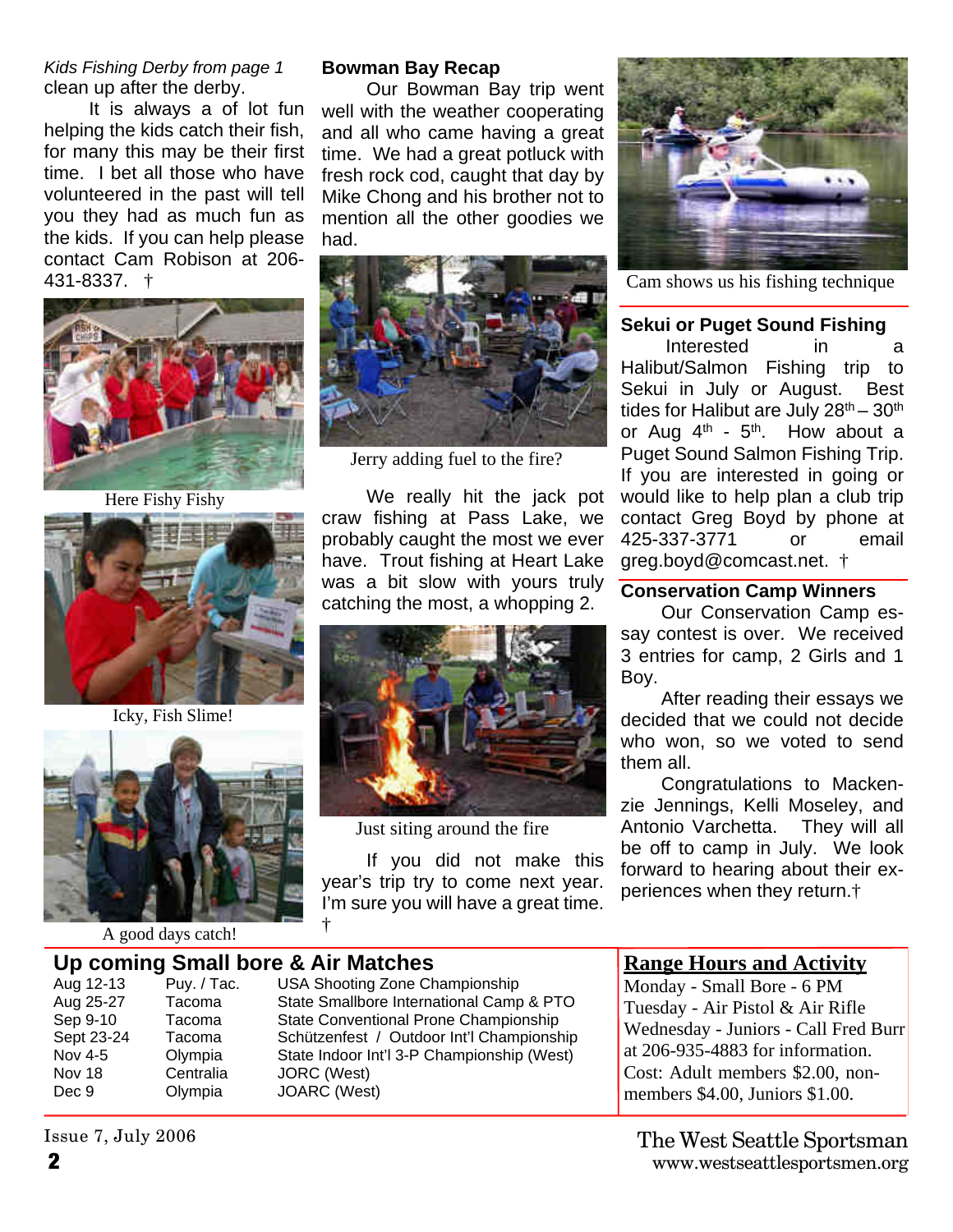*Kids Fishing Derby from page 1* clean up after the derby.

It is always a of lot fun helping the kids catch their fish, for many this may be their first time. I bet all those who have volunteered in the past will tell you they had as much fun as the kids. If you can help please contact Cam Robison at 206- 431-8337. †



Here Fishy Fishy



Icky, Fish Slime!



A good days catch!

#### **Bowman Bay Recap**

Our Bowman Bay trip went well with the weather cooperating and all who came having a great time. We had a great potluck with fresh rock cod, caught that day by Mike Chong and his brother not to mention all the other goodies we had.



Jerry adding fuel to the fire?

We really hit the jack pot craw fishing at Pass Lake, we probably caught the most we ever have. Trout fishing at Heart Lake was a bit slow with yours truly catching the most, a whopping 2.



Just siting around the fire

If you did not make this year's trip try to come next year. I'm sure you will have a great time. †



Cam shows us his fishing technique

#### **Sekui or Puget Sound Fishing**

Interested in a Halibut/Salmon Fishing trip to Sekui in July or August. Best tides for Halibut are July  $28<sup>th</sup> - 30<sup>th</sup>$ or Aug  $4<sup>th</sup>$  -  $5<sup>th</sup>$ . How about a Puget Sound Salmon Fishing Trip. If you are interested in going or would like to help plan a club trip contact Greg Boyd by phone at 425-337-3771 or email greg.boyd@comcast.net. †

#### **Conservation Camp Winners**

Our Conservation Camp essay contest is over. We received 3 entries for camp, 2 Girls and 1 Boy.

After reading their essays we decided that we could not decide who won, so we voted to send them all.

Congratulations to Mackenzie Jennings, Kelli Moseley, and Antonio Varchetta. They will all be off to camp in July. We look forward to hearing about their experiences when they return.†

#### **Up coming Small bore & Air Matches**

| Aug 12-13      | Puy. / Tac. |  |
|----------------|-------------|--|
| Aug 25-27      | Tacoma      |  |
| Sep 9-10       | Tacoma      |  |
| Sept 23-24     | Tacoma      |  |
| <b>Nov 4-5</b> | Olympia     |  |
| Nov 18         | Centralia   |  |
| Dec 9          | Olympia     |  |
|                |             |  |

USA Shooting Zone Championship State Smallbore International Camp & PTO State Conventional Prone Championship Schützenfest / Outdoor Int'l Championship State Indoor Int'l 3-P Championship (West) JORC (West) JOARC (West)

#### **Range Hours and Activity**

Monday - Small Bore - 6 PM Tuesday - Air Pistol & Air Rifle Wednesday - Juniors - Call Fred Burr at 206-935-4883 for information. Cost: Adult members \$2.00, nonmembers \$4.00, Juniors \$1.00.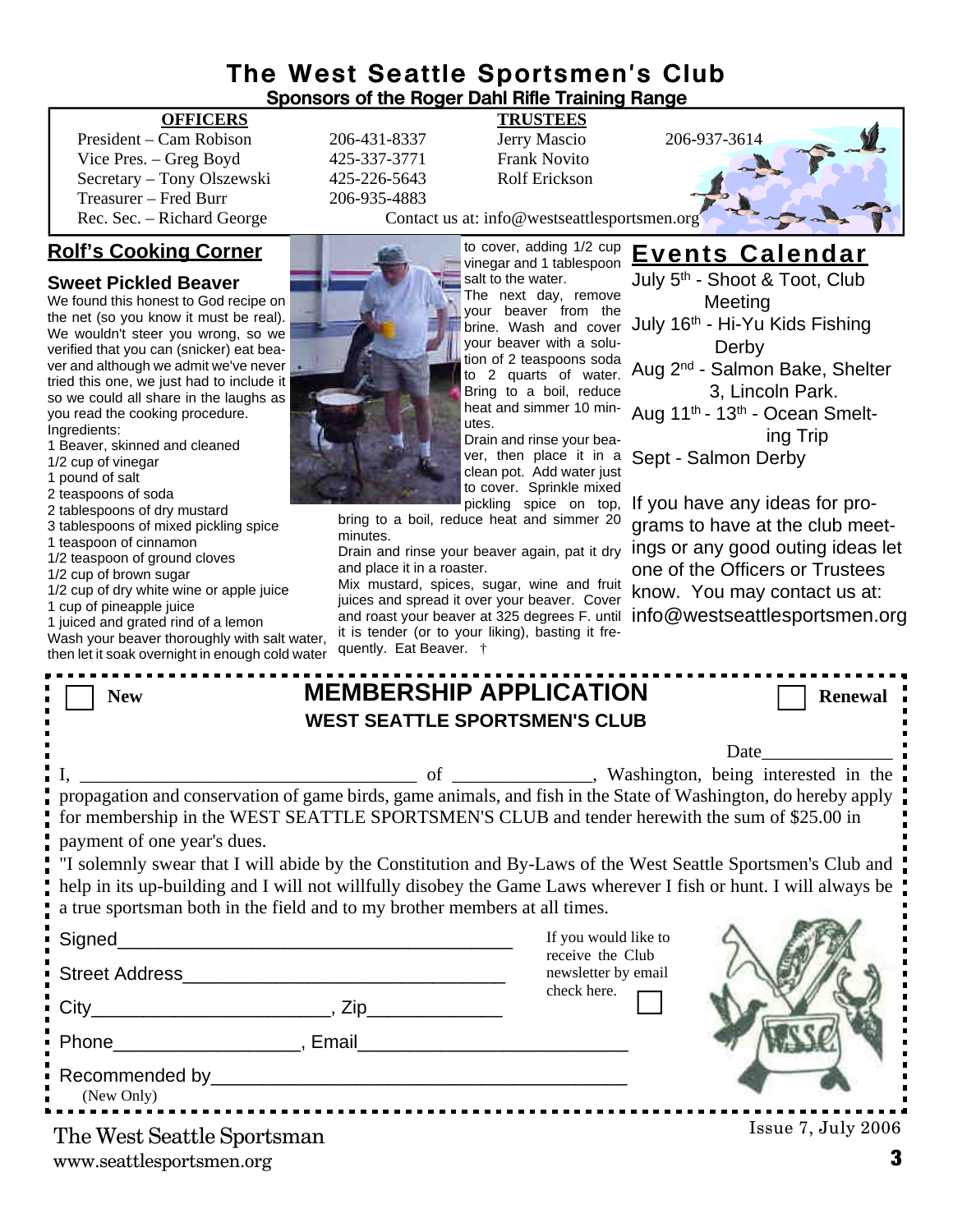#### **The West Seattle Sportsmen's Club Sponsors of the Roger Dahl Rifle Training Range**

#### **OFFICERS TRUSTEES**

President – Cam Robison 206-431-8337 Jerry Mascio 206-937-3614 Vice Pres. – Greg Boyd 425-337-3771 Frank Novito Secretary – Tony Olszewski 425-226-5643 Rolf Erickson Treasurer – Fred Burr 206-935-4883

#### **Rolf's Cooking Corner**

#### **Sweet Pickled Beaver**

We found this honest to God recipe on the net (so you know it must be real). We wouldn't steer you wrong, so we verified that you can (snicker) eat beaver and although we admit we've never tried this one, we just had to include it so we could all share in the laughs as you read the cooking procedure. Ingredients:

1 Beaver, skinned and cleaned

1/2 cup of vinegar

1 pound of salt

2 teaspoons of soda

2 tablespoons of dry mustard

- 3 tablespoons of mixed pickling spice
- 1 teaspoon of cinnamon
- 1/2 teaspoon of ground cloves
- 1/2 cup of brown sugar
- 1/2 cup of dry white wine or apple juice
- 1 cup of pineapple juice

1 juiced and grated rind of a lemon

Wash your beaver thoroughly with salt water, then let it soak overnight in enough cold water



Rec. Sec. – Richard George Contact us at: info@westseattlesportsmen.org

to cover, adding 1/2 cup

vinegar and 1 tablespoon salt to the water. The next day, remove your beaver from the brine. Wash and cover your beaver with a solution of 2 teaspoons soda to 2 quarts of water. Bring to a boil, reduce heat and simmer 10 minutes. Drain and rinse your bea-

ver, then place it in a clean pot. Add water just to cover. Sprinkle mixed pickling spice on top,

bring to a boil, reduce heat and simmer 20 minutes.

Drain and rinse your beaver again, pat it dry and place it in a roaster.

Mix mustard, spices, sugar, wine and fruit juices and spread it over your beaver. Cover and roast your beaver at 325 degrees F. until it is tender (or to your liking), basting it frequently. Eat Beaver. †

July 5<sup>th</sup> - Shoot & Toot, Club Meeting July 16<sup>th</sup> - Hi-Yu Kids Fishing **Derby** Aug 2nd - Salmon Bake, Shelter 3, Lincoln Park. Aug 11th - 13th - Ocean Smelt ing Trip Sept - Salmon Derby

**Events Calendar**

If you have any ideas for programs to have at the club meetings or any good outing ideas let one of the Officers or Trustees know. You may contact us at: info@westseattlesportsmen.org

| <b>New</b>                                                                                                                                                                                                                    | <b>MEMBERSHIP APPLICATION</b>           | <b>Renewal</b>                      |  |
|-------------------------------------------------------------------------------------------------------------------------------------------------------------------------------------------------------------------------------|-----------------------------------------|-------------------------------------|--|
| <b>WEST SEATTLE SPORTSMEN'S CLUB</b>                                                                                                                                                                                          |                                         |                                     |  |
|                                                                                                                                                                                                                               |                                         | $Date$ <sub>__</sub>                |  |
|                                                                                                                                                                                                                               |                                         | washington, being interested in the |  |
| propagation and conservation of game birds, game animals, and fish in the State of Washington, do hereby apply                                                                                                                |                                         |                                     |  |
| for membership in the WEST SEATTLE SPORTSMEN'S CLUB and tender herewith the sum of \$25.00 in                                                                                                                                 |                                         |                                     |  |
| payment of one year's dues.                                                                                                                                                                                                   |                                         |                                     |  |
| "I solemnly swear that I will abide by the Constitution and By-Laws of the West Seattle Sportsmen's Club and                                                                                                                  |                                         |                                     |  |
| help in its up-building and I will not willfully disobey the Game Laws wherever I fish or hunt. I will always be                                                                                                              |                                         |                                     |  |
| a true sportsman both in the field and to my brother members at all times.                                                                                                                                                    |                                         |                                     |  |
| Signed_                                                                                                                                                                                                                       | If you would like to                    |                                     |  |
| <b>Street Address</b>                                                                                                                                                                                                         | receive the Club<br>newsletter by email |                                     |  |
|                                                                                                                                                                                                                               | check here.                             |                                     |  |
|                                                                                                                                                                                                                               |                                         |                                     |  |
| Phone Representation of the Representation of the Representation of the Representation of the Representation of the Representation of the Representation of the Representation of the Representation of the Representation of |                                         |                                     |  |
|                                                                                                                                                                                                                               |                                         |                                     |  |
| (New Only)                                                                                                                                                                                                                    |                                         |                                     |  |
|                                                                                                                                                                                                                               | <u></u>                                 |                                     |  |
| The West Seattle Sportsman                                                                                                                                                                                                    |                                         | Issue 7, July 2006                  |  |

www.seattlesportsmen.org **3**